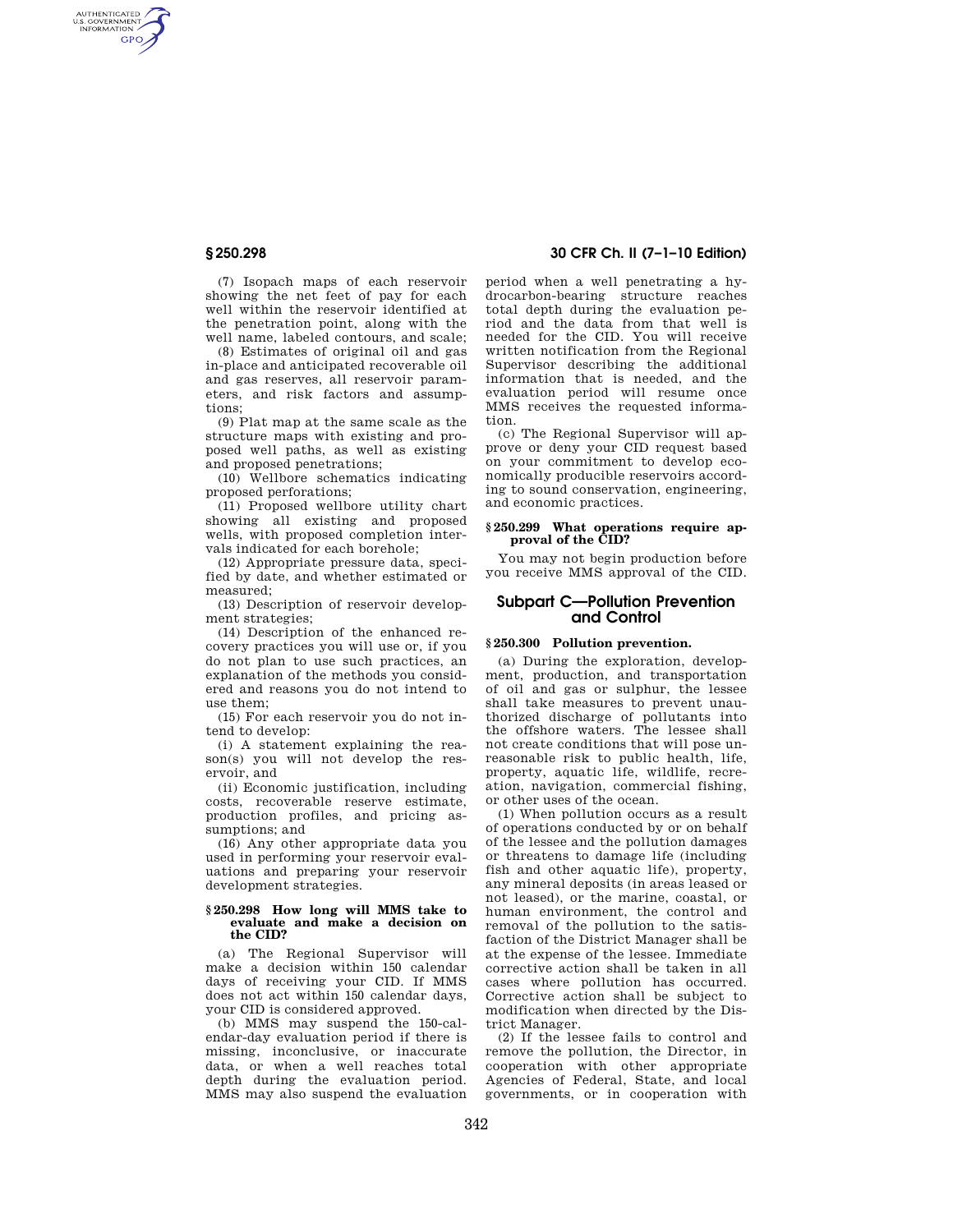AUTHENTICATED<br>U.S. GOVERNMENT<br>INFORMATION **GPO** 

> (7) Isopach maps of each reservoir showing the net feet of pay for each well within the reservoir identified at the penetration point, along with the well name, labeled contours, and scale;

(8) Estimates of original oil and gas in-place and anticipated recoverable oil and gas reserves, all reservoir parameters, and risk factors and assumptions;

(9) Plat map at the same scale as the structure maps with existing and proposed well paths, as well as existing and proposed penetrations;

(10) Wellbore schematics indicating proposed perforations;

(11) Proposed wellbore utility chart showing all existing and proposed wells, with proposed completion intervals indicated for each borehole;

(12) Appropriate pressure data, specified by date, and whether estimated or measured;

(13) Description of reservoir development strategies;

(14) Description of the enhanced recovery practices you will use or, if you do not plan to use such practices, an explanation of the methods you considered and reasons you do not intend to use them;

(15) For each reservoir you do not intend to develop:

(i) A statement explaining the reason(s) you will not develop the reservoir, and

(ii) Economic justification, including costs, recoverable reserve estimate, production profiles, and pricing assumptions; and

(16) Any other appropriate data you used in performing your reservoir evaluations and preparing your reservoir development strategies.

#### **§ 250.298 How long will MMS take to evaluate and make a decision on the CID?**

(a) The Regional Supervisor will make a decision within 150 calendar days of receiving your CID. If MMS does not act within 150 calendar days, your CID is considered approved.

(b) MMS may suspend the 150-calendar-day evaluation period if there is missing, inconclusive, or inaccurate data, or when a well reaches total depth during the evaluation period. MMS may also suspend the evaluation

# **§ 250.298 30 CFR Ch. II (7–1–10 Edition)**

period when a well penetrating a hydrocarbon-bearing structure reaches total depth during the evaluation period and the data from that well is needed for the CID. You will receive written notification from the Regional Supervisor describing the additional information that is needed, and the evaluation period will resume once MMS receives the requested information.

(c) The Regional Supervisor will approve or deny your CID request based on your commitment to develop economically producible reservoirs according to sound conservation, engineering, and economic practices.

## **§ 250.299 What operations require approval of the CID?**

You may not begin production before you receive MMS approval of the CID.

# **Subpart C—Pollution Prevention and Control**

### **§ 250.300 Pollution prevention.**

(a) During the exploration, development, production, and transportation of oil and gas or sulphur, the lessee shall take measures to prevent unauthorized discharge of pollutants into the offshore waters. The lessee shall not create conditions that will pose unreasonable risk to public health, life, property, aquatic life, wildlife, recreation, navigation, commercial fishing, or other uses of the ocean.

(1) When pollution occurs as a result of operations conducted by or on behalf of the lessee and the pollution damages or threatens to damage life (including fish and other aquatic life), property, any mineral deposits (in areas leased or not leased), or the marine, coastal, or human environment, the control and removal of the pollution to the satisfaction of the District Manager shall be at the expense of the lessee. Immediate corrective action shall be taken in all cases where pollution has occurred. Corrective action shall be subject to modification when directed by the District Manager.

(2) If the lessee fails to control and remove the pollution, the Director, in cooperation with other appropriate Agencies of Federal, State, and local governments, or in cooperation with